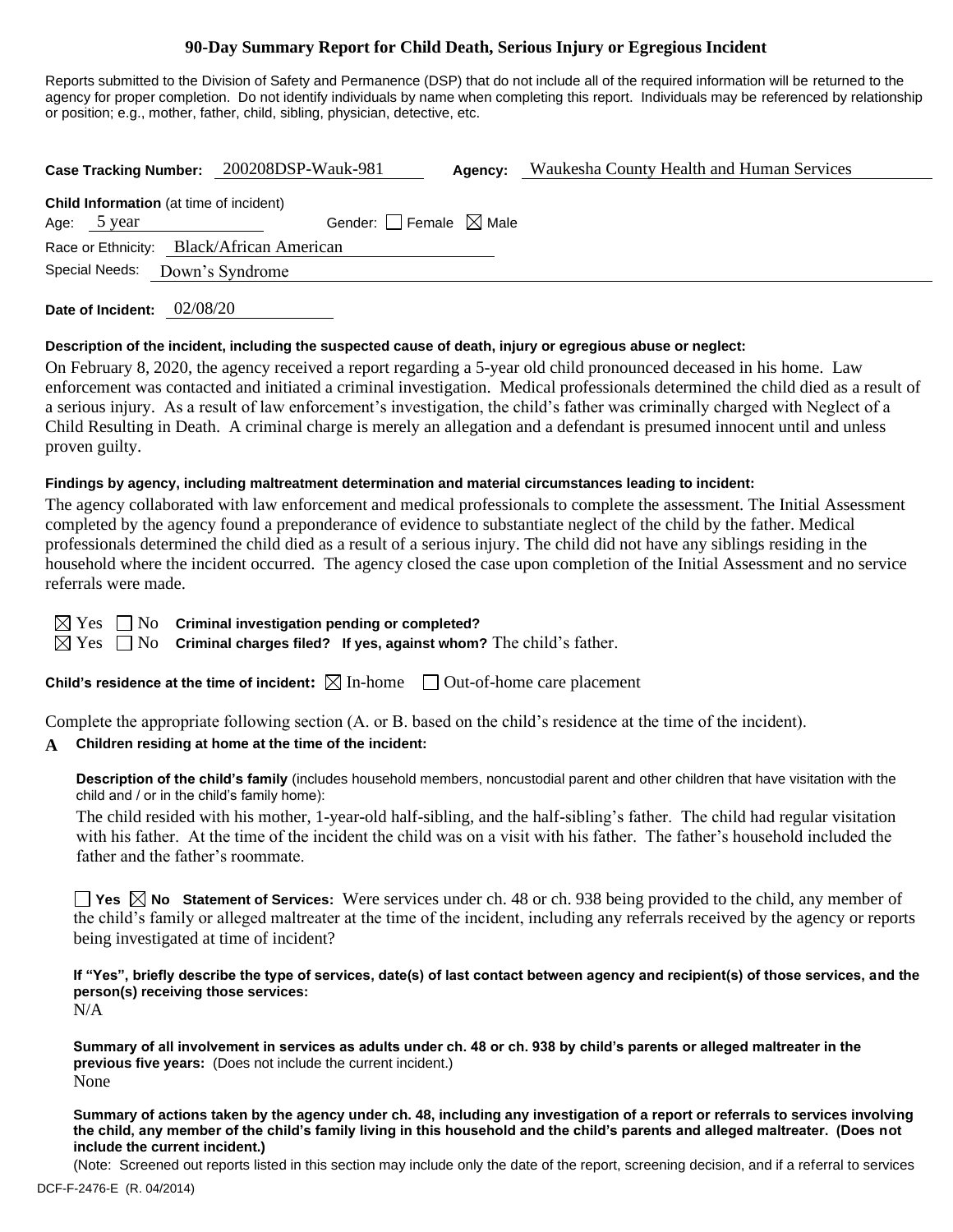# **90-Day Summary Report for Child Death, Serious Injury or Egregious Incident**

Reports submitted to the Division of Safety and Permanence (DSP) that do not include all of the required information will be returned to the agency for proper completion. Do not identify individuals by name when completing this report. Individuals may be referenced by relationship or position; e.g., mother, father, child, sibling, physician, detective, etc.

| <b>Case Tracking Number:</b>                   | 200208DSP-Wauk-981              | Agency: | Waukesha County Health and Human Services |
|------------------------------------------------|---------------------------------|---------|-------------------------------------------|
| <b>Child Information</b> (at time of incident) |                                 |         |                                           |
| Age: 5 year                                    | Gender: Female $\boxtimes$ Male |         |                                           |
| Race or Ethnicity: Black/African American      |                                 |         |                                           |
| Special Needs:                                 | Down's Syndrome                 |         |                                           |
| 02/08/20<br>Date of Incident:                  |                                 |         |                                           |

**Description of the incident, including the suspected cause of death, injury or egregious abuse or neglect:**

On February 8, 2020, the agency received a report regarding a 5-year old child pronounced deceased in his home. Law enforcement was contacted and initiated a criminal investigation. Medical professionals determined the child died as a result of a serious injury. As a result of law enforcement's investigation, the child's father was criminally charged with Neglect of a Child Resulting in Death. A criminal charge is merely an allegation and a defendant is presumed innocent until and unless proven guilty.

#### **Findings by agency, including maltreatment determination and material circumstances leading to incident:**

The agency collaborated with law enforcement and medical professionals to complete the assessment. The Initial Assessment completed by the agency found a preponderance of evidence to substantiate neglect of the child by the father. Medical professionals determined the child died as a result of a serious injury. The child did not have any siblings residing in the household where the incident occurred. The agency closed the case upon completion of the Initial Assessment and no service referrals were made.

| r. |  |
|----|--|
| ⊢∾ |  |

No **Criminal investigation pending or completed?** 

No **Criminal charges filed?** If yes, against whom? The child's father.

**Child's residence at the time of incident:**  $\boxtimes$  In-home  $\Box$  Out-of-home care placement

Complete the appropriate following section (A. or B. based on the child's residence at the time of the incident).

### **A Children residing at home at the time of the incident:**

**Description of the child's family** (includes household members, noncustodial parent and other children that have visitation with the child and / or in the child's family home):

The child resided with his mother, 1-year-old half-sibling, and the half-sibling's father. The child had regular visitation with his father. At the time of the incident the child was on a visit with his father. The father's household included the father and the father's roommate.

**Yes No Statement of Services:** Were services under ch. 48 or ch. 938 being provided to the child, any member of the child's family or alleged maltreater at the time of the incident, including any referrals received by the agency or reports being investigated at time of incident?

**If "Yes", briefly describe the type of services, date(s) of last contact between agency and recipient(s) of those services, and the person(s) receiving those services:** N/A

**Summary of all involvement in services as adults under ch. 48 or ch. 938 by child's parents or alleged maltreater in the previous five years:** (Does not include the current incident.) None

**Summary of actions taken by the agency under ch. 48, including any investigation of a report or referrals to services involving the child, any member of the child's family living in this household and the child's parents and alleged maltreater. (Does not include the current incident.)**

(Note: Screened out reports listed in this section may include only the date of the report, screening decision, and if a referral to services